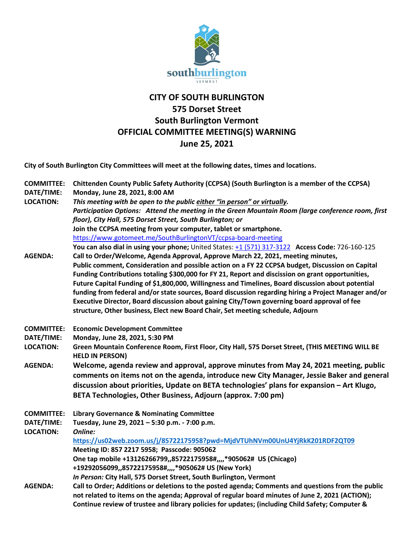

## **CITY OF SOUTH BURLINGTON 575 Dorset Street South Burlington Vermont OFFICIAL COMMITTEE MEETING(S) WARNING June 25, 2021**

**City of South Burlington City Committees will meet at the following dates, times and locations.** 

| <b>COMMITTEE:</b> | Chittenden County Public Safety Authority (CCPSA) (South Burlington is a member of the CCPSA)                              |
|-------------------|----------------------------------------------------------------------------------------------------------------------------|
| DATE/TIME:        | Monday, June 28, 2021, 8:00 AM                                                                                             |
| <b>LOCATION:</b>  | This meeting with be open to the public either "in person" or virtually.                                                   |
|                   | Participation Options: Attend the meeting in the Green Mountain Room (large conference room, first                         |
|                   | floor), City Hall, 575 Dorset Street, South Burlington; or                                                                 |
|                   | Join the CCPSA meeting from your computer, tablet or smartphone.                                                           |
|                   | https://www.gotomeet.me/SouthBurlingtonVT/ccpsa-board-meeting                                                              |
|                   | You can also dial in using your phone; United States: +1 (571) 317-3122 Access Code: 726-160-125                           |
| <b>AGENDA:</b>    | Call to Order/Welcome, Agenda Approval, Approve March 22, 2021, meeting minutes,                                           |
|                   | Public comment, Consideration and possible action on a FY 22 CCPSA budget, Discussion on Capital                           |
|                   | Funding Contributions totaling \$300,000 for FY 21, Report and discission on grant opportunities,                          |
|                   | Future Capital Funding of \$1,800,000, Willingness and Timelines, Board discussion about potential                         |
|                   | funding from federal and/or state sources, Board discussion regarding hiring a Project Manager and/or                      |
|                   | Executive Director, Board discussion about gaining City/Town governing board approval of fee                               |
|                   | structure, Other business, Elect new Board Chair, Set meeting schedule, Adjourn                                            |
| <b>COMMITTEE:</b> | <b>Economic Development Committee</b>                                                                                      |
| DATE/TIME:        | Monday, June 28, 2021, 5:30 PM                                                                                             |
| <b>LOCATION:</b>  | Green Mountain Conference Room, First Floor, City Hall, 575 Dorset Street, (THIS MEETING WILL BE<br><b>HELD IN PERSON)</b> |
| <b>AGENDA:</b>    | Welcome, agenda review and approval, approve minutes from May 24, 2021 meeting, public                                     |
|                   | comments on items not on the agenda, introduce new City Manager, Jessie Baker and general                                  |
|                   | discussion about priorities, Update on BETA technologies' plans for expansion - Art Klugo,                                 |
|                   | BETA Technologies, Other Business, Adjourn (approx. 7:00 pm)                                                               |
| <b>COMMITTEE:</b> | <b>Library Governance &amp; Nominating Committee</b>                                                                       |
| DATE/TIME:        | Tuesday, June 29, 2021 - 5:30 p.m. - 7:00 p.m.                                                                             |
| <b>LOCATION:</b>  | Online:                                                                                                                    |
|                   | https://us02web.zoom.us/j/85722175958?pwd=MjdVTUhNVm00UnU4YjRkK201RDF2QT09                                                 |
|                   | Meeting ID: 857 2217 5958; Passcode: 905062                                                                                |
|                   | One tap mobile +13126266799,,85722175958#,,,,*905062# US (Chicago)                                                         |
|                   | +19292056099,,85722175958#,,,,*905062# US (New York)                                                                       |
|                   | In Person: City Hall, 575 Dorset Street, South Burlington, Vermont                                                         |
| <b>AGENDA:</b>    | Call to Order; Additions or deletions to the posted agenda; Comments and questions from the public                         |
|                   | not related to items on the agenda; Approval of regular board minutes of June 2, 2021 (ACTION);                            |
|                   | Continue review of trustee and library policies for updates; (including Child Safety; Computer &                           |